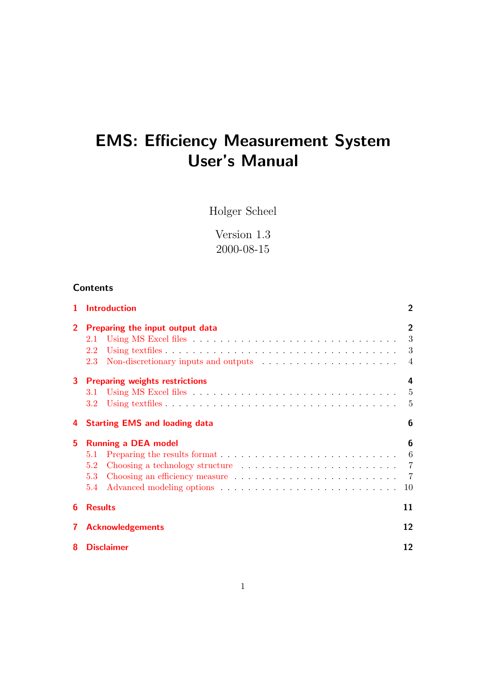# EMS: Efficiency Measurement System User's Manual

Holger Scheel

Version 1.3 2000-08-15

# **Contents**

| 1            | <b>Introduction</b>                                                                                                                      | $\overline{2}$ |
|--------------|------------------------------------------------------------------------------------------------------------------------------------------|----------------|
| $2^{\circ}$  | Preparing the input output data<br>2.1<br>2.2<br>Non-discretionary inputs and outputs $\dots \dots \dots \dots \dots \dots \dots$<br>2.3 | $\overline{2}$ |
|              | 3 Preparing weights restrictions<br>3.1<br>3.2 <sub>1</sub>                                                                              | 4              |
|              | 4 Starting EMS and loading data                                                                                                          | 6              |
| 5            | <b>Running a DEA model</b><br>5.1<br>Choosing a technology structure contained a series of the series of the series of $7$<br>5.2<br>5.3 | 6<br>-10       |
| 6            | <b>Results</b>                                                                                                                           | 11             |
| $\mathbf{7}$ | <b>Acknowledgements</b>                                                                                                                  | 12             |
| 8            | <b>Disclaimer</b>                                                                                                                        | 12             |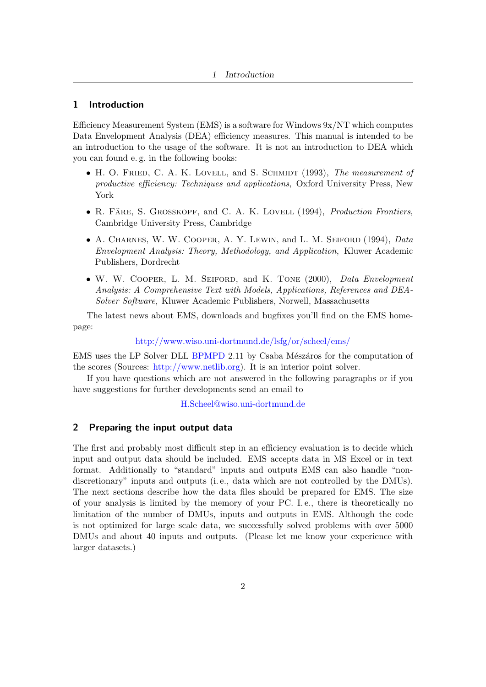## <span id="page-1-0"></span>1 Introduction

Efficiency Measurement System (EMS) is a software for Windows 9x/NT which computes Data Envelopment Analysis (DEA) efficiency measures. This manual is intended to be an introduction to the usage of the software. It is not an introduction to DEA which you can found e. g. in the following books:

- H. O. FRIED, C. A. K. LOVELL, and S. SCHMIDT (1993), The measurement of productive efficiency: Techniques and applications, Oxford University Press, New York
- R. FÄRE, S. GROSSKOPF, and C. A. K. LOVELL  $(1994)$ , *Production Frontiers*, Cambridge University Press, Cambridge
- A. CHARNES, W. W. COOPER, A. Y. LEWIN, and L. M. SEIFORD (1994), Data Envelopment Analysis: Theory, Methodology, and Application, Kluwer Academic Publishers, Dordrecht
- W. W. COOPER, L. M. SEIFORD, and K. TONE (2000), Data Envelopment Analysis: A Comprehensive Text with Models, Applications, References and DEA-Solver Software, Kluwer Academic Publishers, Norwell, Massachusetts

The latest news about EMS, downloads and bugfixes you'll find on the EMS homepage:

#### <http://www.wiso.uni-dortmund.de/lsfg/or/scheel/ems/>

EMS uses the LP Solver DLL [BPMPD](http://www.sztaki.hu/~meszaros/bpmpd/) 2.11 by Csaba Mészáros for the computation of the scores (Sources: [http://www.netlib.org\)](http://www.netlib.org). It is an interior point solver.

If you have questions which are not answered in the following paragraphs or if you have suggestions for further developments send an email to

[H.Scheel@wiso.uni-dortmund.de](mailto:H.Scheel@wiso.uni-dortmund.de)

## <span id="page-1-1"></span>2 Preparing the input output data

The first and probably most difficult step in an efficiency evaluation is to decide which input and output data should be included. EMS accepts data in MS Excel or in text format. Additionally to "standard" inputs and outputs EMS can also handle "nondiscretionary" inputs and outputs (i. e., data which are not controlled by the DMUs). The next sections describe how the data files should be prepared for EMS. The size of your analysis is limited by the memory of your PC. I. e., there is theoretically no limitation of the number of DMUs, inputs and outputs in EMS. Although the code is not optimized for large scale data, we successfully solved problems with over 5000 DMUs and about 40 inputs and outputs. (Please let me know your experience with larger datasets.)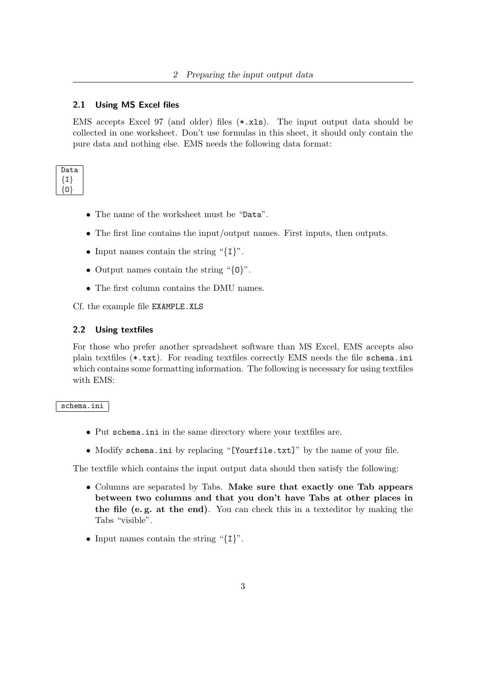## <span id="page-2-0"></span>2.1 Using MS Excel files

EMS accepts Excel 97 (and older) files (\*.xls). The input output data should be collected in one worksheet. Don't use formulas in this sheet, it should only contain the pure data and nothing else. EMS needs the following data format:

| )ata |
|------|
|      |
|      |
|      |

- The name of the worksheet must be "Data".
- The first line contains the input/output names. First inputs, then outputs.
- Input names contain the string "{I}".
- Output names contain the string "{0}".
- The first column contains the DMU names.

Cf. the example file EXAMPLE.XLS

#### <span id="page-2-1"></span>2.2 Using textfiles

For those who prefer another spreadsheet software than MS Excel, EMS accepts also plain textfiles (\*.txt). For reading textfiles correctly EMS needs the file schema.ini which contains some formatting information. The following is necessary for using textfiles with EMS:

## schema.ini

- Put schema.ini in the same directory where your textfiles are.
- Modify schema.ini by replacing "[Yourfile.txt]" by the name of your file.

The textfile which contains the input output data should then satisfy the following:

- Columns are separated by Tabs. Make sure that exactly one Tab appears between two columns and that you don't have Tabs at other places in the file (e. g. at the end). You can check this in a texteditor by making the Tabs "visible".
- Input names contain the string " $\{I\}$ ".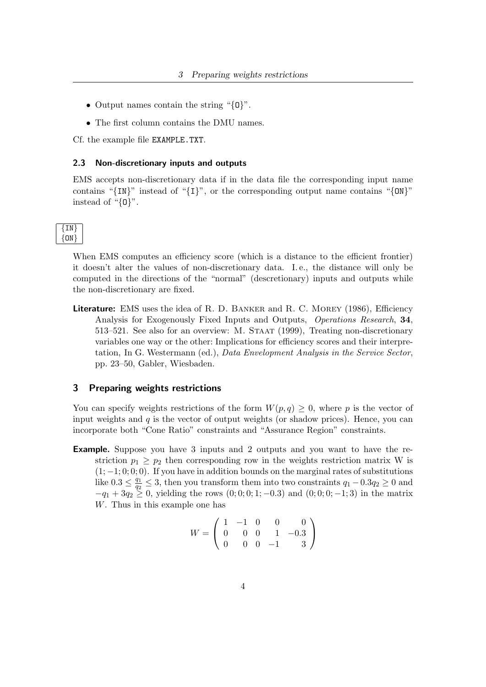- Output names contain the string "{0}".
- The first column contains the DMU names.

Cf. the example file EXAMPLE.TXT.

#### <span id="page-3-0"></span>2.3 Non-discretionary inputs and outputs

EMS accepts non-discretionary data if in the data file the corresponding input name contains " $\{IN\}$ " instead of " $\{I\}$ ", or the corresponding output name contains " $\{ON\}$ " instead of "{O}".

When EMS computes an efficiency score (which is a distance to the efficient frontier) it doesn't alter the values of non-discretionary data. I. e., the distance will only be computed in the directions of the "normal" (descretionary) inputs and outputs while the non-discretionary are fixed.

Literature: EMS uses the idea of R. D. BANKER and R. C. MOREY (1986), Efficiency Analysis for Exogenously Fixed Inputs and Outputs, Operations Research, 34, 513–521. See also for an overview: M. Staat (1999), Treating non-discretionary variables one way or the other: Implications for efficiency scores and their interpretation, In G. Westermann (ed.), Data Envelopment Analysis in the Service Sector, pp. 23–50, Gabler, Wiesbaden.

#### <span id="page-3-1"></span>3 Preparing weights restrictions

You can specify weights restrictions of the form  $W(p,q) \geq 0$ , where p is the vector of input weights and  $q$  is the vector of output weights (or shadow prices). Hence, you can incorporate both "Cone Ratio" constraints and "Assurance Region" constraints.

Example. Suppose you have 3 inputs and 2 outputs and you want to have the restriction  $p_1 \geq p_2$  then corresponding row in the weights restriction matrix W is  $(1, -1, 0, 0, 0)$ . If you have in addition bounds on the marginal rates of substitutions like  $0.3 \leq \frac{q_1}{q_2}$  $\frac{q_1}{q_2} \leq 3$ , then you transform them into two constraints  $q_1 - 0.3q_2 \geq 0$  and  $-q_1 + 3q_2 \geq 0$ , yielding the rows  $(0; 0; 0; 1; -0.3)$  and  $(0; 0; 0; -1; 3)$  in the matrix W. Thus in this example one has

$$
W = \left(\begin{array}{rrrr} 1 & -1 & 0 & 0 & 0 \\ 0 & 0 & 0 & 1 & -0.3 \\ 0 & 0 & 0 & -1 & 3 \end{array}\right)
$$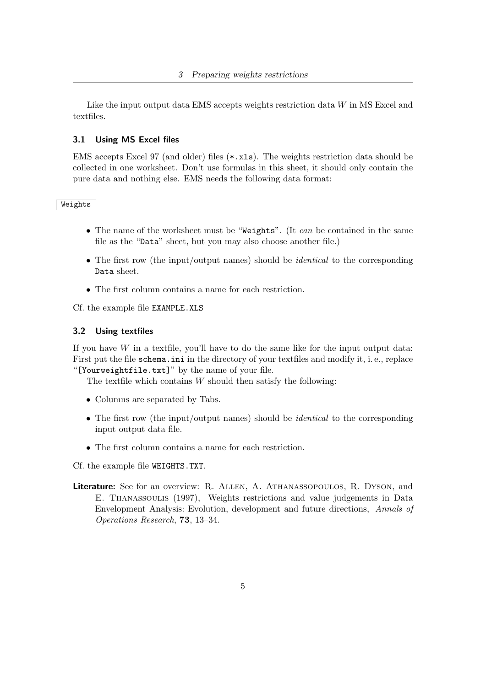Like the input output data EMS accepts weights restriction data  $W$  in MS Excel and textfiles.

## <span id="page-4-0"></span>3.1 Using MS Excel files

EMS accepts Excel 97 (and older) files (\*.xls). The weights restriction data should be collected in one worksheet. Don't use formulas in this sheet, it should only contain the pure data and nothing else. EMS needs the following data format:

#### Weights

- The name of the worksheet must be "Weights". (It can be contained in the same file as the "Data" sheet, but you may also choose another file.)
- The first row (the input/output names) should be *identical* to the corresponding Data sheet.
- The first column contains a name for each restriction.

Cf. the example file EXAMPLE.XLS

#### <span id="page-4-1"></span>3.2 Using textfiles

If you have  $W$  in a textfile, you'll have to do the same like for the input output data: First put the file schema.ini in the directory of your textfiles and modify it, i. e., replace "[Yourweightfile.txt]" by the name of your file.

The textfile which contains  $W$  should then satisfy the following:

- Columns are separated by Tabs.
- The first row (the input/output names) should be *identical* to the corresponding input output data file.
- The first column contains a name for each restriction.

Cf. the example file WEIGHTS.TXT.

Literature: See for an overview: R. ALLEN, A. ATHANASSOPOULOS, R. DYSON, and E. Thanassoulis (1997), Weights restrictions and value judgements in Data Envelopment Analysis: Evolution, development and future directions, Annals of Operations Research, 73, 13–34.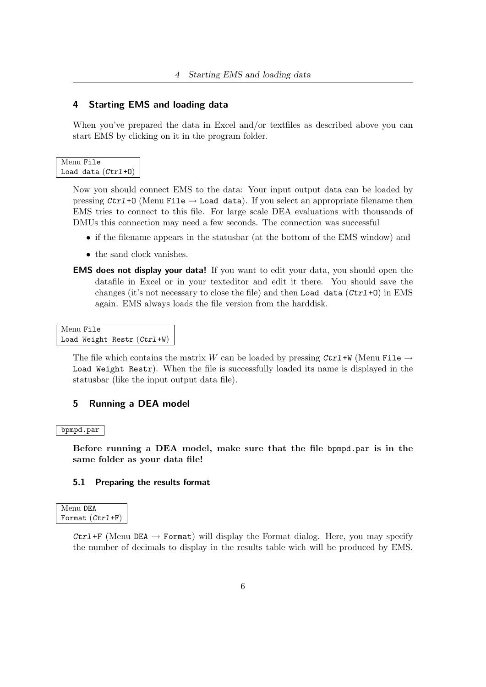## <span id="page-5-0"></span>4 Starting EMS and loading data

When you've prepared the data in Excel and/or textfiles as described above you can start EMS by clicking on it in the program folder.

## Menu File Load data (Ctrl+O)

Now you should connect EMS to the data: Your input output data can be loaded by pressing  $Ctrl+O$  (Menu File  $\rightarrow$  Load data). If you select an appropriate filename then EMS tries to connect to this file. For large scale DEA evaluations with thousands of DMUs this connection may need a few seconds. The connection was successful

- if the filename appears in the statusbar (at the bottom of the EMS window) and
- the sand clock vanishes.
- EMS does not display your data! If you want to edit your data, you should open the datafile in Excel or in your texteditor and edit it there. You should save the changes (it's not necessary to close the file) and then Load data  $(\text{Ctrl} + 0)$  in EMS again. EMS always loads the file version from the harddisk.

```
Menu File
Load Weight Restr (Ctrl+W)
```
The file which contains the matrix W can be loaded by pressing  $\mathcal{C}tr1+W$  (Menu File  $\rightarrow$ Load Weight Restr). When the file is successfully loaded its name is displayed in the statusbar (like the input output data file).

## <span id="page-5-1"></span>5 Running a DEA model

#### bpmpd.par

Before running a DEA model, make sure that the file bpmpd.par is in the same folder as your data file!

#### <span id="page-5-2"></span>5.1 Preparing the results format

| Menu DEA          |  |
|-------------------|--|
| Format $(Ctr1+F)$ |  |

Ctrl+F (Menu DEA  $\rightarrow$  Format) will display the Format dialog. Here, you may specify the number of decimals to display in the results table wich will be produced by EMS.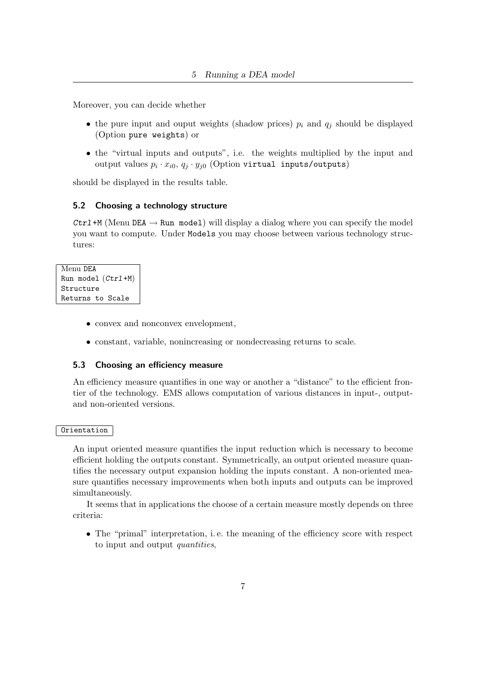Moreover, you can decide whether

- the pure input and ouput weights (shadow prices)  $p_i$  and  $q_j$  should be displayed (Option pure weights) or
- the "virtual inputs and outputs", i.e. the weights multiplied by the input and output values  $p_i \cdot x_{i0}, q_j \cdot y_{j0}$  (Option virtual inputs/outputs)

should be displayed in the results table.

#### <span id="page-6-0"></span>5.2 Choosing a technology structure

Ctrl+M (Menu DEA  $\rightarrow$  Run model) will display a dialog where you can specify the model you want to compute. Under Models you may choose between various technology structures:

```
Menu DEA
Run model (Ctr1+M)Structure
Returns to Scale
```
- convex and nonconvex envelopment,
- constant, variable, nonincreasing or nondecreasing returns to scale.

#### <span id="page-6-1"></span>5.3 Choosing an efficiency measure

An efficiency measure quantifies in one way or another a "distance" to the efficient frontier of the technology. EMS allows computation of various distances in input-, outputand non-oriented versions.

#### Orientation

An input oriented measure quantifies the input reduction which is necessary to become efficient holding the outputs constant. Symmetrically, an output oriented measure quantifies the necessary output expansion holding the inputs constant. A non-oriented measure quantifies necessary improvements when both inputs and outputs can be improved simultaneously.

It seems that in applications the choose of a certain measure mostly depends on three criteria:

• The "primal" interpretation, i. e. the meaning of the efficiency score with respect to input and output quantities,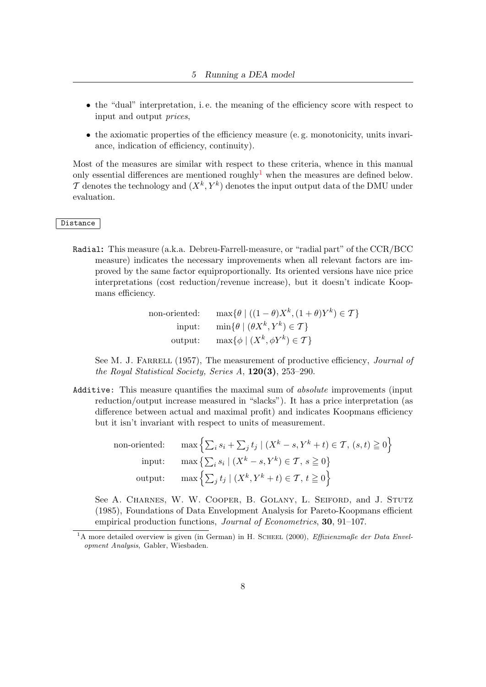- the "dual" interpretation, i. e. the meaning of the efficiency score with respect to input and output prices,
- the axiomatic properties of the efficiency measure (e. g. monotonicity, units invariance, indication of efficiency, continuity).

Most of the measures are similar with respect to these criteria, whence in this manual only essential differences are mentioned roughly<sup>[1](#page-7-0)</sup> when the measures are defined below.  $\mathcal T$  denotes the technology and  $(X^k, Y^k)$  denotes the input output data of the DMU under evaluation.

#### Distance

Radial: This measure (a.k.a. Debreu-Farrell-measure, or "radial part" of the CCR/BCC measure) indicates the necessary improvements when all relevant factors are improved by the same factor equiproportionally. Its oriented versions have nice price interpretations (cost reduction/revenue increase), but it doesn't indicate Koopmans efficiency.

| non-oriented: | $\max\{\theta \mid ((1-\theta)X^k, (1+\theta)Y^k) \in \mathcal{T}\}\$ |
|---------------|-----------------------------------------------------------------------|
| input:        | $\min\{\theta \mid (\theta X^k, Y^k) \in \mathcal{T}\}\$              |
|               | output: $\max\{\phi \mid (X^k, \phi Y^k) \in \mathcal{T}\}\$          |

See M. J. FARRELL (1957), The measurement of productive efficiency, *Journal of* the Royal Statistical Society, Series A, 120(3), 253–290.

Additive: This measure quantifies the maximal sum of absolute improvements (input reduction/output increase measured in "slacks"). It has a price interpretation (as difference between actual and maximal profit) and indicates Koopmans efficiency but it isn't invariant with respect to units of measurement.

| non-oriented: $\max \left\{ \sum_i s_i + \sum_j t_j \mid (X^k - s, Y^k + t) \in \mathcal{T}, (s, t) \geq 0 \right\}$ |
|----------------------------------------------------------------------------------------------------------------------|
| input: $\max\left\{\sum_i s_i \mid (X^k - s, Y^k) \in \mathcal{T}, s \geq 0\right\}$                                 |
| output: $\max \left\{ \sum_j t_j \mid (X^k, Y^k + t) \in \mathcal{T}, t \geq 0 \right\}$                             |

See A. CHARNES, W. W. COOPER, B. GOLANY, L. SEIFORD, and J. STUTZ (1985), Foundations of Data Envelopment Analysis for Pareto-Koopmans efficient empirical production functions, *Journal of Econometrics*, **30**, 91–107.

<span id="page-7-0"></span><sup>&</sup>lt;sup>1</sup>A more detailed overview is given (in German) in H. SCHEEL (2000), *Effizienzmaße der Data Envel*opment Analysis, Gabler, Wiesbaden.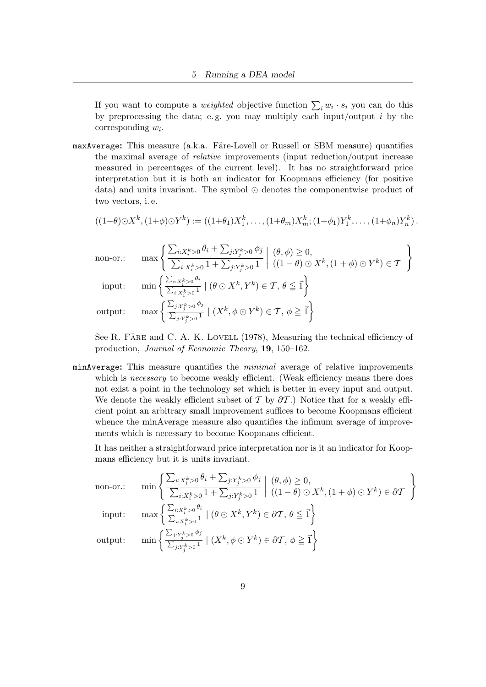If you want to compute a *weighted* objective function  $\sum_i w_i \cdot s_i$  you can do this by preprocessing the data; e.g. you may multiply each input/output  $i$  by the corresponding  $w_i$ .

maxAverage: This measure (a.k.a. Färe-Lovell or Russell or SBM measure) quantifies the maximal average of relative improvements (input reduction/output increase measured in percentages of the current level). It has no straightforward price interpretation but it is both an indicator for Koopmans efficiency (for positive data) and units invariant. The symbol  $\odot$  denotes the componentwise product of two vectors, i. e.

$$
((1-\theta)\odot X^{k},(1+\phi)\odot Y^{k}):=((1+\theta_{1})X_{1}^{k},\ldots,(1+\theta_{m})X_{m}^{k};(1+\phi_{1})Y_{1}^{k},\ldots,(1+\phi_{n})Y_{n}^{k}).
$$

$$
\text{non-or.:}\quad
$$

non-or.: 
$$
\max \left\{ \frac{\sum_{i:X_i^k>0} \theta_i + \sum_{j:Y_j^k>0} \phi_j}{\sum_{i:X_i^k>0} 1 + \sum_{j:Y_j^k>0} 1} \middle| \begin{array}{l} (\theta, \phi) \ge 0, \\ ((1 - \theta) \odot X^k, (1 + \phi) \odot Y^k) \in \mathcal{T} \end{array} \right\}
$$
  
input: 
$$
\min \left\{ \frac{\sum_{i:X_i^k>0} \theta_i}{\sum_{i:X_i^k>0} 1} \middle| (\theta \odot X^k, Y^k) \in \mathcal{T}, \theta \le \vec{1} \right\}
$$
  
output: 
$$
\max \left\{ \frac{\sum_{j:Y_j^k>0} \phi_j}{\sum_{j:Y_j^k>0} 1} \middle| (X^k, \phi \odot Y^k) \in \mathcal{T}, \phi \ge \vec{1} \right\}
$$

outp

See R. FÄRE and C. A. K. LOVELL  $(1978)$ , Measuring the technical efficiency of production, Journal of Economic Theory, 19, 150–162.

minAverage: This measure quantifies the minimal average of relative improvements which is *necessary* to become weakly efficient. (Weak efficiency means there does not exist a point in the technology set which is better in every input and output. We denote the weakly efficient subset of T by  $\partial \mathcal{T}$ .) Notice that for a weakly efficient point an arbitrary small improvement suffices to become Koopmans efficient whence the minAverage measure also quantifies the infimum average of improvements which is necessary to become Koopmans efficient.

It has neither a straightforward price interpretation nor is it an indicator for Koopmans efficiency but it is units invariant.

non-or.: 
$$
\min \left\{ \frac{\sum_{i:X_i^k>0} \theta_i + \sum_{j:Y_j^k>0} \phi_j}{\sum_{i:X_i^k>0} 1 + \sum_{j:Y_j^k>0} 1} \middle| \begin{array}{l} (\theta, \phi) \ge 0, \\ ((1 - \theta) \odot X^k, (1 + \phi) \odot Y^k) \in \partial \mathcal{T} \end{array} \right\}
$$
  
input: 
$$
\max \left\{ \frac{\sum_{i:X_i^k>0} \theta_i}{\sum_{i:X_i^k>0} 1} \middle| (\theta \odot X^k, Y^k) \in \partial \mathcal{T}, \theta \le \vec{1} \right\}
$$
  
output: 
$$
\min \left\{ \frac{\sum_{j:Y_j^k>0} \phi_j}{\sum_{j:Y_j^k>0} 1} \middle| (X^k, \phi \odot Y^k) \in \partial \mathcal{T}, \phi \ge \vec{1} \right\}
$$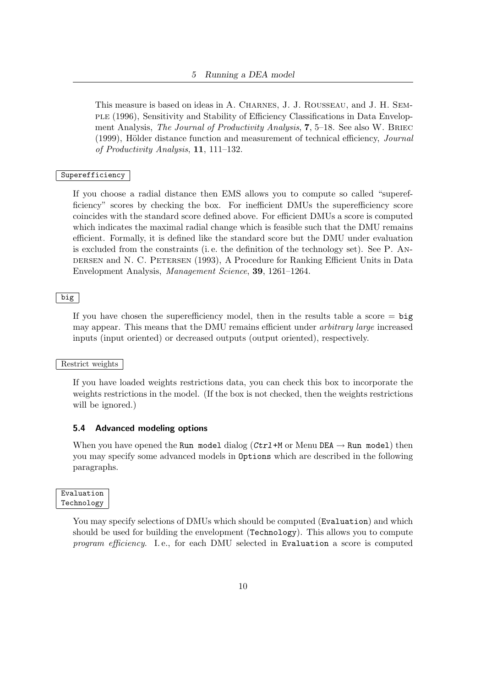This measure is based on ideas in A. Charnes, J. J. Rousseau, and J. H. Semple (1996), Sensitivity and Stability of Efficiency Classifications in Data Envelopment Analysis, *The Journal of Productivity Analysis*, **7**, 5–18. See also W. BRIEC (1999), Hölder distance function and measurement of technical efficiency,  $Journal$ of Productivity Analysis, 11, 111–132.

#### **Superefficiency**

If you choose a radial distance then EMS allows you to compute so called "superefficiency" scores by checking the box. For inefficient DMUs the superefficiency score coincides with the standard score defined above. For efficient DMUs a score is computed which indicates the maximal radial change which is feasible such that the DMU remains efficient. Formally, it is defined like the standard score but the DMU under evaluation is excluded from the constraints (i. e. the definition of the technology set). See P. Andersen and N. C. Petersen (1993), A Procedure for Ranking Efficient Units in Data Envelopment Analysis, Management Science, 39, 1261–1264.

## big

If you have chosen the superefficiency model, then in the results table a score  $=$  big may appear. This means that the DMU remains efficient under arbitrary large increased inputs (input oriented) or decreased outputs (output oriented), respectively.

#### Restrict weights

If you have loaded weights restrictions data, you can check this box to incorporate the weights restrictions in the model. (If the box is not checked, then the weights restrictions will be ignored.)

#### <span id="page-9-0"></span>5.4 Advanced modeling options

When you have opened the Run model dialog  $(Ctrl + M \text{ or } M \text{enu } DEA \rightarrow Run \text{ model})$  then you may specify some advanced models in Options which are described in the following paragraphs.

| Evaluation |
|------------|
| Technology |

You may specify selections of DMUs which should be computed (Evaluation) and which should be used for building the envelopment (Technology). This allows you to compute program efficiency. I.e., for each DMU selected in Evaluation a score is computed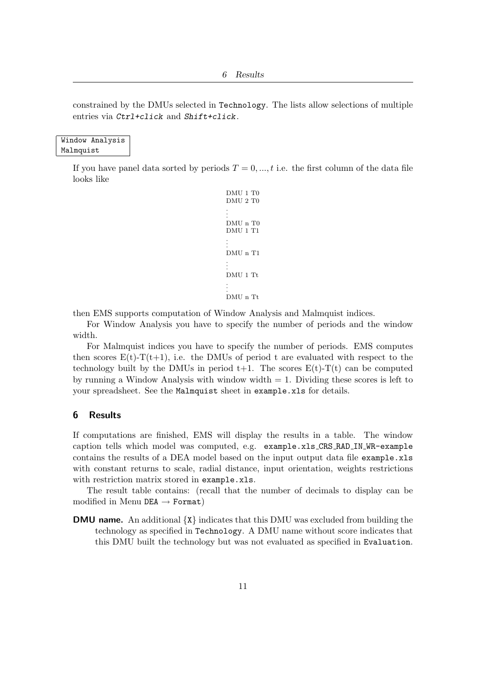constrained by the DMUs selected in Technology. The lists allow selections of multiple entries via Ctrl+click and Shift+click.

## Window Analysis Malmquist

If you have panel data sorted by periods  $T = 0, ..., t$  i.e. the first column of the data file looks like

```
DMU 1 T0
DMU 2 T0
.
.
.
DMU n T0
DMU 1 T1
.
.
.
DMU n T1
.
.
.
DMU 1 Tt
.
.
.
DMU n Tt
```
then EMS supports computation of Window Analysis and Malmquist indices.

For Window Analysis you have to specify the number of periods and the window width.

For Malmquist indices you have to specify the number of periods. EMS computes then scores  $E(t)$ - $T(t+1)$ , i.e. the DMUs of period t are evaluated with respect to the technology built by the DMUs in period  $t+1$ . The scores  $E(t)-T(t)$  can be computed by running a Window Analysis with window width  $= 1$ . Dividing these scores is left to your spreadsheet. See the Malmquist sheet in example.xls for details.

## <span id="page-10-0"></span>6 Results

If computations are finished, EMS will display the results in a table. The window caption tells which model was computed, e.g. example.xls CRS RAD IN WR-example contains the results of a DEA model based on the input output data file example.xls with constant returns to scale, radial distance, input orientation, weights restrictions with restriction matrix stored in example.xls.

The result table contains: (recall that the number of decimals to display can be modified in Menu DEA  $\rightarrow$  Format)

**DMU name.** An additional  $\{X\}$  indicates that this DMU was excluded from building the technology as specified in Technology. A DMU name without score indicates that this DMU built the technology but was not evaluated as specified in Evaluation.